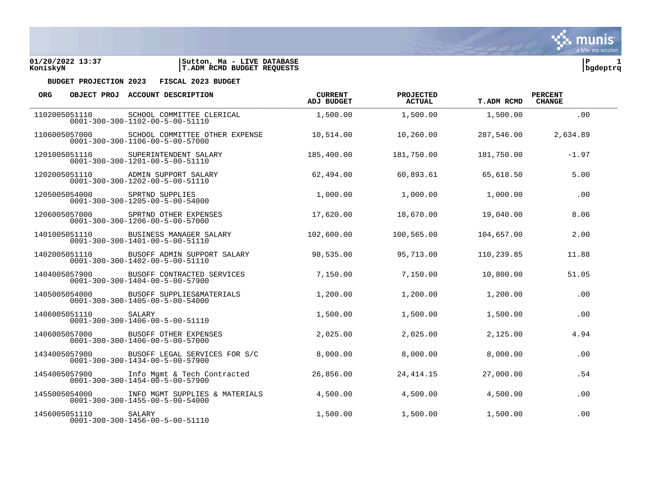| 01/20/2022 13:37 | Ma - LIVE DATABASE<br>Sutton, |          |  |
|------------------|-------------------------------|----------|--|
| KoniskvN         | T.ADM RCMD BUDGET REQUESTS    | bqdeptrq |  |

| <b>ORG</b> |               | OBJECT PROJ ACCOUNT DESCRIPTION                                                       | <b>CURRENT</b><br><b>ADJ BUDGET</b> | <b>PROJECTED</b><br>ACTUAL | <b>T.ADM RCMD</b> | <b>PERCENT</b><br><b>CHANGE</b> |  |
|------------|---------------|---------------------------------------------------------------------------------------|-------------------------------------|----------------------------|-------------------|---------------------------------|--|
|            | 1102005051110 | SCHOOL COMMITTEE CLERICAL<br>$0001 - 300 - 300 - 1102 - 00 - 5 - 00 - 51110$          | 1,500.00                            | 1,500.00                   | 1,500.00          | .00                             |  |
|            | 1106005057000 | SCHOOL COMMITTEE OTHER EXPENSE<br>$0001 - 300 - 300 - 1106 - 00 - 5 - 00 - 57000$     | 10,514.00                           | 10,260.00                  | 287,546.00        | 2,634.89                        |  |
|            | 1201005051110 | SUPERINTENDENT SALARY<br>0001-300-300-1201-00-5-00-51110                              | 185,400.00                          | 181,750.00                 | 181,750.00        | $-1.97$                         |  |
|            |               | 1202005051110 ADMIN SUPPORT SALARY<br>$0001 - 300 - 300 - 1202 - 00 - 5 - 00 - 51110$ | 62,494.00                           | 60,893.61                  | 65,618.50         | 5.00                            |  |
|            | 1205005054000 | SPRTND SUPPLIES<br>$0001 - 300 - 300 - 1205 - 00 - 5 - 00 - 54000$                    | 1,000.00                            | 1,000.00                   | 1,000.00          | .00                             |  |
|            | 1206005057000 | SPRTND OTHER EXPENSES<br>$0001 - 300 - 300 - 1206 - 00 - 5 - 00 - 57000$              | 17,620.00                           | 18,670.00                  | 19,040.00         | 8.06                            |  |
|            | 1401005051110 | BUSINESS MANAGER SALARY<br>$0001 - 300 - 300 - 1401 - 00 - 5 - 00 - 51110$            | 102,600.00                          | 100,565.00                 | 104,657.00        | 2.00                            |  |
|            | 1402005051110 | BUSOFF ADMIN SUPPORT SALARY<br>$0001 - 300 - 300 - 1402 - 00 - 5 - 00 - 51110$        | 98,535.00                           | 95,713.00                  | 110,239.85        | 11.88                           |  |
|            | 1404005057900 | BUSOFF CONTRACTED SERVICES<br>$0001 - 300 - 300 - 1404 - 00 - 5 - 00 - 57900$         | 7,150.00                            | 7,150.00                   | 10,800.00         | 51.05                           |  |
|            | 1405005054000 | BUSOFF SUPPLIES&MATERIALS<br>$0001 - 300 - 300 - 1405 - 00 - 5 - 00 - 54000$          | 1,200.00                            | 1,200.00                   | 1,200.00          | .00                             |  |
|            | 1406005051110 | SALARY<br>$0001 - 300 - 300 - 1406 - 00 - 5 - 00 - 51110$                             | 1,500.00                            | 1,500.00                   | 1,500.00          | .00                             |  |
|            | 1406005057000 | BUSOFF OTHER EXPENSES<br>$0001 - 300 - 300 - 1406 - 00 - 5 - 00 - 57000$              | 2,025.00                            | 2,025.00                   | 2,125.00          | 4.94                            |  |
|            | 1434005057900 | BUSOFF LEGAL SERVICES FOR S/C<br>$0001 - 300 - 300 - 1434 - 00 - 5 - 00 - 57900$      | 8,000.00                            | 8,000.00                   | 8,000.00          | .00                             |  |
|            | 1454005057900 | Info Mgmt & Tech Contracted<br>$0001 - 300 - 300 - 1454 - 00 - 5 - 00 - 57900$        | 26,856.00                           | 24, 414. 15                | 27,000.00         | .54                             |  |
|            | 1455005054000 | INFO MGMT SUPPLIES & MATERIALS<br>$0001 - 300 - 300 - 1455 - 00 - 5 - 00 - 54000$     | 4,500.00                            | 4,500.00                   | 4,500.00          | .00                             |  |
|            | 1456005051110 | SALARY<br>$0001 - 300 - 300 - 1456 - 00 - 5 - 00 - 51110$                             | 1,500.00                            | 1,500.00                   | 1,500.00          | .00                             |  |

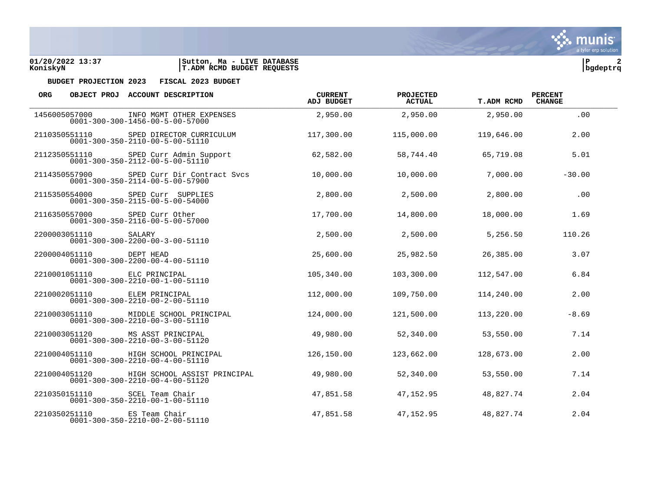

| ORG. |               | OBJECT PROJ ACCOUNT DESCRIPTION                                                 | <b>CURRENT</b><br>ADJ BUDGET | <b>PROJECTED</b><br><b>ACTUAL</b> | <b>T.ADM RCMD</b> | <b>PERCENT</b><br><b>CHANGE</b> |  |
|------|---------------|---------------------------------------------------------------------------------|------------------------------|-----------------------------------|-------------------|---------------------------------|--|
|      | 1456005057000 | INFO MGMT OTHER EXPENSES<br>$0001 - 300 - 300 - 1456 - 00 - 5 - 00 - 57000$     | 2,950.00                     | 2,950.00                          | 2,950.00          | .00                             |  |
|      | 2110350551110 | SPED DIRECTOR CURRICULUM<br>$0001 - 300 - 350 - 2110 - 00 - 5 - 00 - 51110$     | 117,300.00                   | 115,000.00                        | 119,646.00        | 2.00                            |  |
|      | 2112350551110 | SPED Curr Admin Support<br>$0001 - 300 - 350 - 2112 - 00 - 5 - 00 - 51110$      | 62,582.00                    | 58,744.40                         | 65,719.08         | 5.01                            |  |
|      | 2114350557900 | SPED Curr Dir Contract Svcs<br>$0001 - 300 - 350 - 2114 - 00 - 5 - 00 - 57900$  | 10,000.00                    | 10,000.00                         | 7,000.00          | $-30.00$                        |  |
|      | 2115350554000 | SPED Curr SUPPLIES<br>$0001 - 300 - 350 - 2115 - 00 - 5 - 00 - 54000$           | 2,800.00                     | 2,500.00                          | 2,800.00          | .00                             |  |
|      | 2116350557000 | SPED Curr Other<br>$0001 - 300 - 350 - 2116 - 00 - 5 - 00 - 57000$              | 17,700.00                    | 14,800.00                         | 18,000.00         | 1.69                            |  |
|      | 2200003051110 | SALARY<br>$0001 - 300 - 300 - 2200 - 00 - 3 - 00 - 51110$                       | 2,500.00                     | 2,500.00                          | 5,256.50          | 110.26                          |  |
|      | 2200004051110 | DEPT HEAD<br>$0001 - 300 - 300 - 2200 - 00 - 4 - 00 - 51110$                    | 25,600.00                    | 25,982.50                         | 26,385.00         | 3.07                            |  |
|      | 2210001051110 | ELC PRINCIPAL<br>$0001 - 300 - 300 - 2210 - 00 - 1 - 00 - 51110$                | 105,340.00                   | 103,300.00                        | 112,547.00        | 6.84                            |  |
|      | 2210002051110 | ELEM PRINCIPAL<br>$0001 - 300 - 300 - 2210 - 00 - 2 - 00 - 51110$               | 112,000.00                   | 109,750.00                        | 114,240.00        | 2.00                            |  |
|      | 2210003051110 | MIDDLE SCHOOL PRINCIPAL<br>$0001 - 300 - 300 - 2210 - 00 - 3 - 00 - 51110$      | 124,000.00                   | 121,500.00                        | 113,220.00        | $-8.69$                         |  |
|      | 2210003051120 | MS ASST PRINCIPAL<br>$0001 - 300 - 300 - 2210 - 00 - 3 - 00 - 51120$            | 49,980.00                    | 52,340.00                         | 53,550.00         | 7.14                            |  |
|      | 2210004051110 | HIGH SCHOOL PRINCIPAL<br>$0001 - 300 - 300 - 2210 - 00 - 4 - 00 - 51110$        | 126,150.00                   | 123,662.00                        | 128,673.00        | 2.00                            |  |
|      | 2210004051120 | HIGH SCHOOL ASSIST PRINCIPAL<br>$0001 - 300 - 300 - 2210 - 00 - 4 - 00 - 51120$ | 49,980.00                    | 52,340.00                         | 53,550.00         | 7.14                            |  |
|      | 2210350151110 | SCEL Team Chair<br>$0001 - 300 - 350 - 2210 - 00 - 1 - 00 - 51110$              | 47,851.58                    | 47,152.95                         | 48,827.74         | 2.04                            |  |
|      | 2210350251110 | ES Team Chair<br>$0001 - 300 - 350 - 2210 - 00 - 2 - 00 - 51110$                | 47,851.58                    | 47,152.95                         | 48,827.74         | 2.04                            |  |

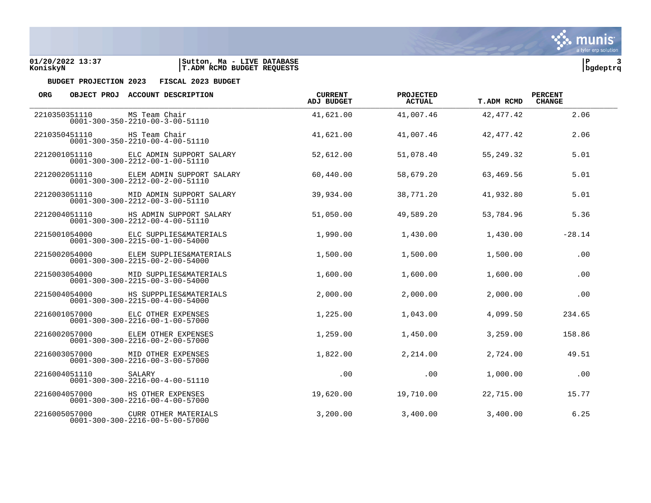



| ORG. |               | OBJECT PROJ ACCOUNT DESCRIPTION                                                         | <b>CURRENT</b><br><b>ADJ BUDGET</b> | <b>PROJECTED</b><br>ACTUAL | <b>T.ADM RCMD</b> | <b>PERCENT</b><br><b>CHANGE</b> |  |
|------|---------------|-----------------------------------------------------------------------------------------|-------------------------------------|----------------------------|-------------------|---------------------------------|--|
|      | 2210350351110 | MS Team Chair<br>$0001 - 300 - 350 - 2210 - 00 - 3 - 00 - 51110$                        | 41,621.00                           | 41,007.46                  | 42,477.42         | 2.06                            |  |
|      | 2210350451110 | HS Team Chair<br>$0001 - 300 - 350 - 2210 - 00 - 4 - 00 - 51110$                        | 41,621.00                           | 41,007.46                  | 42,477.42         | 2.06                            |  |
|      | 2212001051110 | ELC ADMIN SUPPORT SALARY<br>$0001 - 300 - 300 - 2212 - 00 - 1 - 00 - 51110$             | 52,612.00                           | 51,078.40                  | 55, 249.32        | 5.01                            |  |
|      | 2212002051110 | ELEM ADMIN SUPPORT SALARY<br>$0001 - 300 - 300 - 2212 - 00 - 2 - 00 - 51110$            | 60,440.00                           | 58,679.20                  | 63,469.56         | 5.01                            |  |
|      | 2212003051110 | MID ADMIN SUPPORT SALARY<br>$0001 - 300 - 300 - 2212 - 00 - 3 - 00 - 51110$             | 39,934.00                           | 38,771.20                  | 41,932.80         | 5.01                            |  |
|      | 2212004051110 | HS ADMIN SUPPORT SALARY<br>$0001 - 300 - 300 - 2212 - 00 - 4 - 00 - 51110$              | 51,050.00                           | 49,589.20                  | 53,784.96         | 5.36                            |  |
|      |               | 2215001054000 ELC SUPPLIES&MATERIALS<br>$0001 - 300 - 300 - 2215 - 00 - 1 - 00 - 54000$ | 1,990.00                            | 1,430.00                   | 1,430.00          | $-28.14$                        |  |
|      | 2215002054000 | ELEM SUPPLIES&MATERIALS<br>$0001 - 300 - 300 - 2215 - 00 - 2 - 00 - 54000$              | 1,500.00                            | 1,500.00                   | 1,500.00          | .00                             |  |
|      | 2215003054000 | MID SUPPLIES&MATERIALS<br>$0001 - 300 - 300 - 2215 - 00 - 3 - 00 - 54000$               | 1,600.00                            | 1,600.00                   | 1,600.00          | .00                             |  |
|      | 2215004054000 | HS SUPPPLIES&MATERIALS<br>$0001 - 300 - 300 - 2215 - 00 - 4 - 00 - 54000$               | 2,000.00                            | 2,000.00                   | 2,000.00          | .00                             |  |
|      |               | 2216001057000 ELC OTHER EXPENSES<br>$0001 - 300 - 300 - 2216 - 00 - 1 - 00 - 57000$     | 1,225.00                            | 1,043.00                   | 4,099.50          | 234.65                          |  |
|      | 2216002057000 | ELEM OTHER EXPENSES<br>$0001 - 300 - 300 - 2216 - 00 - 2 - 00 - 57000$                  | 1,259.00                            | 1,450.00                   | 3,259.00          | 158.86                          |  |
|      | 2216003057000 | MID OTHER EXPENSES<br>$0001 - 300 - 300 - 2216 - 00 - 3 - 00 - 57000$                   | 1,822.00                            | 2,214.00                   | 2,724.00          | 49.51                           |  |
|      | 2216004051110 | SALARY<br>$0001 - 300 - 300 - 2216 - 00 - 4 - 00 - 51110$                               | .00                                 | .00                        | 1,000.00          | .00                             |  |
|      | 2216004057000 | HS OTHER EXPENSES<br>$0001 - 300 - 300 - 2216 - 00 - 4 - 00 - 57000$                    | 19,620.00                           | 19,710.00                  | 22,715.00         | 15.77                           |  |
|      | 2216005057000 | CURR OTHER MATERIALS<br>$0001 - 300 - 300 - 2216 - 00 - 5 - 00 - 57000$                 | 3,200.00                            | 3,400.00                   | 3,400.00          | 6.25                            |  |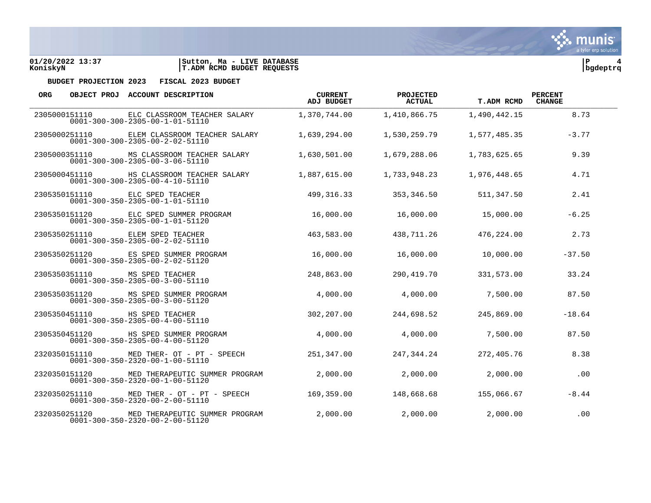

| <b>ORG</b> |               | OBJECT PROJ ACCOUNT DESCRIPTION                                                                 | <b>CURRENT</b><br><b>ADJ BUDGET</b> | PROJECTED<br><b>ACTUAL</b> | <b>T.ADM RCMD</b> | <b>PERCENT</b><br><b>CHANGE</b> |  |
|------------|---------------|-------------------------------------------------------------------------------------------------|-------------------------------------|----------------------------|-------------------|---------------------------------|--|
|            | 2305000151110 | ELC CLASSROOM TEACHER SALARY<br>$0001 - 300 - 300 - 2305 - 00 - 1 - 01 - 51110$                 | 1,370,744.00                        | 1,410,866.75               | 1,490,442.15      | 8.73                            |  |
|            | 2305000251110 | ELEM CLASSROOM TEACHER SALARY<br>$0001 - 300 - 300 - 2305 - 00 - 2 - 02 - 51110$                | 1,639,294.00                        | 1,530,259.79               | 1,577,485.35      | $-3.77$                         |  |
|            | 2305000351110 | MS CLASSROOM TEACHER SALARY<br>$0001 - 300 - 300 - 2305 - 00 - 3 - 06 - 51110$                  | 1,630,501.00                        | 1,679,288.06               | 1,783,625.65      | 9.39                            |  |
|            |               | 2305000451110 HS CLASSROOM TEACHER SALARY<br>$0001 - 300 - 300 - 2305 - 00 - 4 - 10 - 51110$    | 1,887,615.00                        | 1,733,948.23               | 1,976,448.65      | 4.71                            |  |
|            | 2305350151110 | ELC SPED TEACHER<br>$0001 - 300 - 350 - 2305 - 00 - 1 - 01 - 51110$                             | 499,316.33                          | 353,346.50                 | 511,347.50        | 2.41                            |  |
|            | 2305350151120 | ELC SPED SUMMER PROGRAM<br>$0001 - 300 - 350 - 2305 - 00 - 1 - 01 - 51120$                      | 16,000.00                           | 16,000.00                  | 15,000.00         | $-6.25$                         |  |
|            | 2305350251110 | ELEM SPED TEACHER<br>$0001 - 300 - 350 - 2305 - 00 - 2 - 02 - 51110$                            | 463,583.00                          | 438,711.26                 | 476,224.00        | 2.73                            |  |
|            |               | 2305350251120 ES SPED SUMMER PROGRAM<br>$0001 - 300 - 350 - 2305 - 00 - 2 - 02 - 51120$         | 16,000.00                           | 16,000.00                  | 10,000.00         | $-37.50$                        |  |
|            | 2305350351110 | MS SPED TEACHER<br>$0001 - 300 - 350 - 2305 - 00 - 3 - 00 - 51110$                              | 248,863.00                          | 290,419.70                 | 331,573.00        | 33.24                           |  |
|            | 2305350351120 | MS SPED SUMMER PROGRAM<br>$0001 - 300 - 350 - 2305 - 00 - 3 - 00 - 51120$                       | 4,000.00                            | 4,000.00                   | 7,500.00          | 87.50                           |  |
|            | 2305350451110 | HS SPED TEACHER<br>$0001 - 300 - 350 - 2305 - 00 - 4 - 00 - 51110$                              | 302,207.00                          | 244,698.52                 | 245,869.00        | $-18.64$                        |  |
|            |               | 2305350451120 HS SPED SUMMER PROGRAM<br>$0001 - 300 - 350 - 2305 - 00 - 4 - 00 - 51120$         | 4,000.00                            | 4,000.00                   | 7,500.00          | 87.50                           |  |
|            | 2320350151110 | MED THER- OT - PT - SPEECH<br>$0001 - 300 - 350 - 2320 - 00 - 1 - 00 - 51110$                   | 251,347.00                          | 247,344.24                 | 272,405.76        | 8.38                            |  |
|            | 2320350151120 | MED THERAPEUTIC SUMMER PROGRAM<br>$0001 - 300 - 350 - 2320 - 00 - 1 - 00 - 51120$               | 2,000.00                            | 2,000.00                   | 2,000.00          | .00                             |  |
|            | 2320350251110 | MED THER - OT - PT - SPEECH<br>$0001 - 300 - 350 - 2320 - 00 - 2 - 00 - 51110$                  | 169,359.00                          | 148,668.68                 | 155,066.67        | $-8.44$                         |  |
|            |               | 2320350251120 MED THERAPEUTIC SUMMER PROGRAM<br>$0001 - 300 - 350 - 2320 - 00 - 2 - 00 - 51120$ | 2,000.00                            | 2,000.00                   | 2,000.00          | .00                             |  |

**∵ munis** a tyler erp solution

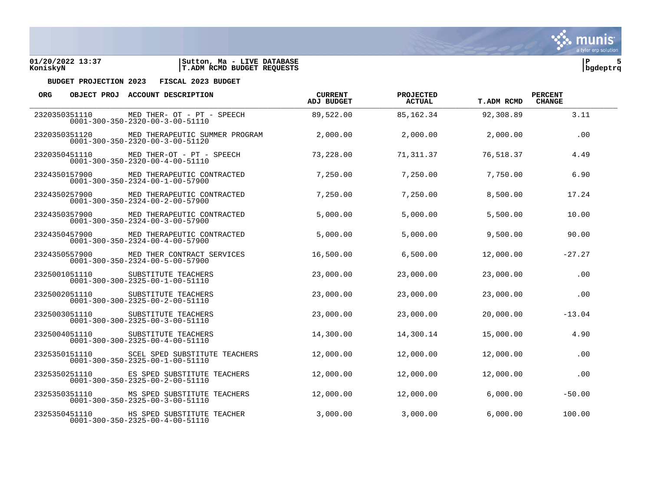

| ORG |               | OBJECT PROJ ACCOUNT DESCRIPTION                                                             | <b>CURRENT</b><br>ADJ BUDGET | PROJECTED<br><b>ACTUAL</b> | <b>T.ADM RCMD</b> | <b>PERCENT</b><br><b>CHANGE</b> |  |
|-----|---------------|---------------------------------------------------------------------------------------------|------------------------------|----------------------------|-------------------|---------------------------------|--|
|     | 2320350351110 | MED THER- OT - PT - SPEECH<br>$0001 - 300 - 350 - 2320 - 00 - 3 - 00 - 51110$               | 89,522.00                    | 85,162.34                  | 92,308.89         | 3.11                            |  |
|     | 2320350351120 | MED THERAPEUTIC SUMMER PROGRAM<br>$0001 - 300 - 350 - 2320 - 00 - 3 - 00 - 51120$           | 2,000.00                     | 2,000.00                   | 2,000.00          | .00                             |  |
|     | 2320350451110 | MED THER-OT - PT - SPEECH<br>$0001 - 300 - 350 - 2320 - 00 - 4 - 00 - 51110$                | 73,228.00                    | 71,311.37                  | 76,518.37         | 4.49                            |  |
|     | 2324350157900 | MED THERAPEUTIC CONTRACTED<br>$0001 - 300 - 350 - 2324 - 00 - 1 - 00 - 57900$               | 7,250.00                     | 7,250.00                   | 7,750.00          | 6.90                            |  |
|     | 2324350257900 | MED THERAPEUTIC CONTRACTED<br>$0001 - 300 - 350 - 2324 - 00 - 2 - 00 - 57900$               | 7,250.00                     | 7,250.00                   | 8,500.00          | 17.24                           |  |
|     | 2324350357900 | MED THERAPEUTIC CONTRACTED<br>$0001 - 300 - 350 - 2324 - 00 - 3 - 00 - 57900$               | 5,000.00                     | 5,000.00                   | 5,500.00          | 10.00                           |  |
|     | 2324350457900 | MED THERAPEUTIC CONTRACTED<br>$0001 - 300 - 350 - 2324 - 00 - 4 - 00 - 57900$               | 5,000.00                     | 5,000.00                   | 9,500.00          | 90.00                           |  |
|     |               | 2324350557900 MED THER CONTRACT SERVICES<br>$0001 - 300 - 350 - 2324 - 00 - 5 - 00 - 57900$ | 16,500.00                    | 6,500.00                   | 12,000.00         | $-27.27$                        |  |
|     | 2325001051110 | SUBSTITUTE TEACHERS<br>$0001 - 300 - 300 - 2325 - 00 - 1 - 00 - 51110$                      | 23,000.00                    | 23,000.00                  | 23,000.00         | .00                             |  |
|     | 2325002051110 | SUBSTITUTE TEACHERS<br>$0001 - 300 - 300 - 2325 - 00 - 2 - 00 - 51110$                      | 23,000.00                    | 23,000.00                  | 23,000.00         | .00                             |  |
|     | 2325003051110 | SUBSTITUTE TEACHERS<br>$0001 - 300 - 300 - 2325 - 00 - 3 - 00 - 51110$                      | 23,000.00                    | 23,000.00                  | 20,000.00         | $-13.04$                        |  |
|     | 2325004051110 | SUBSTITUTE TEACHERS<br>$0001 - 300 - 300 - 2325 - 00 - 4 - 00 - 51110$                      | 14,300.00                    | 14,300.14                  | 15,000.00         | 4.90                            |  |
|     | 2325350151110 | SCEL SPED SUBSTITUTE TEACHERS<br>$0001 - 300 - 350 - 2325 - 00 - 1 - 00 - 51110$            | 12,000.00                    | 12,000.00                  | 12,000.00         | .00                             |  |
|     | 2325350251110 | ES SPED SUBSTITUTE TEACHERS<br>$0001 - 300 - 350 - 2325 - 00 - 2 - 00 - 51110$              | 12,000.00                    | 12,000.00                  | 12,000.00         | .00                             |  |
|     | 2325350351110 | MS SPED SUBSTITUTE TEACHERS<br>$0001 - 300 - 350 - 2325 - 00 - 3 - 00 - 51110$              | 12,000.00                    | 12,000.00                  | 6,000.00          | $-50.00$                        |  |
|     |               | 2325350451110 HS SPED SUBSTITUTE TEACHER<br>$0001 - 300 - 350 - 2325 - 00 - 4 - 00 - 51110$ | 3,000.00                     | 3,000.00                   | 6,000.00          | 100.00                          |  |

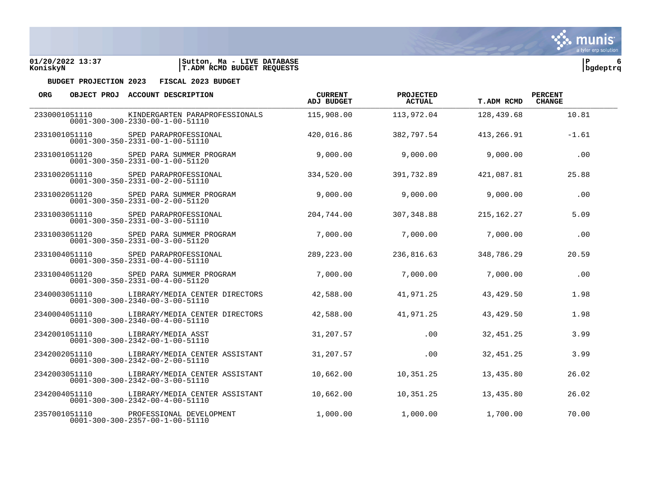

| ORG |               | OBJECT PROJ ACCOUNT DESCRIPTION                                                                 | <b>CURRENT</b><br>ADJ BUDGET | <b>PROJECTED</b><br><b>ACTUAL</b> | <b>T.ADM RCMD</b> | <b>PERCENT</b><br><b>CHANGE</b> |  |
|-----|---------------|-------------------------------------------------------------------------------------------------|------------------------------|-----------------------------------|-------------------|---------------------------------|--|
|     | 2330001051110 | KINDERGARTEN PARAPROFESSIONALS<br>$0001 - 300 - 300 - 2330 - 00 - 1 - 00 - 51110$               | 115,908.00                   | 113,972.04                        | 128,439.68        | 10.81                           |  |
|     | 2331001051110 | SPED PARAPROFESSIONAL<br>$0001 - 300 - 350 - 2331 - 00 - 1 - 00 - 51110$                        | 420,016.86                   | 382,797.54                        | 413,266.91        | $-1.61$                         |  |
|     | 2331001051120 | SPED PARA SUMMER PROGRAM<br>$0001 - 300 - 350 - 2331 - 00 - 1 - 00 - 51120$                     | 9,000.00                     | 9,000.00                          | 9,000.00          | .00                             |  |
|     | 2331002051110 | SPED PARAPROFESSIONAL<br>$0001 - 300 - 350 - 2331 - 00 - 2 - 00 - 51110$                        | 334,520.00                   | 391,732.89                        | 421,087.81        | 25.88                           |  |
|     | 2331002051120 | SPED PARA SUMMER PROGRAM<br>$0001 - 300 - 350 - 2331 - 00 - 2 - 00 - 51120$                     | 9,000.00                     | 9,000.00                          | 9,000.00          | .00                             |  |
|     | 2331003051110 | SPED PARAPROFESSIONAL<br>$0001 - 300 - 350 - 2331 - 00 - 3 - 00 - 51110$                        | 204,744.00                   | 307,348.88                        | 215,162.27        | 5.09                            |  |
|     | 2331003051120 | SPED PARA SUMMER PROGRAM<br>$0001 - 300 - 350 - 2331 - 00 - 3 - 00 - 51120$                     | 7,000.00                     | 7,000.00                          | 7,000.00          | .00                             |  |
|     |               | 2331004051110 SPED PARAPROFESSIONAL<br>$0001 - 300 - 350 - 2331 - 00 - 4 - 00 - 51110$          | 289,223.00                   | 236,816.63                        | 348,786.29        | 20.59                           |  |
|     | 2331004051120 | SPED PARA SUMMER PROGRAM<br>$0001 - 300 - 350 - 2331 - 00 - 4 - 00 - 51120$                     | 7.000.00                     | 7,000.00                          | 7,000.00          | .00                             |  |
|     | 2340003051110 | LIBRARY/MEDIA CENTER DIRECTORS<br>$0001 - 300 - 300 - 2340 - 00 - 3 - 00 - 51110$               | 42,588.00                    | 41,971.25                         | 43,429.50         | 1.98                            |  |
|     | 2340004051110 | LIBRARY/MEDIA CENTER DIRECTORS<br>$0001 - 300 - 300 - 2340 - 00 - 4 - 00 - 51110$               | 42,588.00                    | 41,971.25                         | 43,429.50         | 1.98                            |  |
|     |               | 2342001051110 LIBRARY/MEDIA ASST<br>$0001 - 300 - 300 - 2342 - 00 - 1 - 00 - 51110$             | 31,207.57                    | .00                               | 32,451.25         | 3.99                            |  |
|     |               | 2342002051110 LIBRARY/MEDIA CENTER ASSISTANT<br>$0001 - 300 - 300 - 2342 - 00 - 2 - 00 - 51110$ | 31,207.57                    | .00                               | 32,451.25         | 3.99                            |  |
|     | 2342003051110 | LIBRARY/MEDIA CENTER ASSISTANT<br>$0001 - 300 - 300 - 2342 - 00 - 3 - 00 - 51110$               | 10,662.00                    | 10,351.25                         | 13,435.80         | 26.02                           |  |
|     | 2342004051110 | LIBRARY/MEDIA CENTER ASSISTANT<br>$0001 - 300 - 300 - 2342 - 00 - 4 - 00 - 51110$               | 10,662.00                    | 10,351.25                         | 13,435.80         | 26.02                           |  |
|     |               | 2357001051110 PROFESSIONAL DEVELOPMENT<br>$0001 - 300 - 300 - 2357 - 00 - 1 - 00 - 51110$       | 1,000.00                     | 1,000.00                          | 1,700.00          | 70.00                           |  |

**∵ munis** a tyler erp solution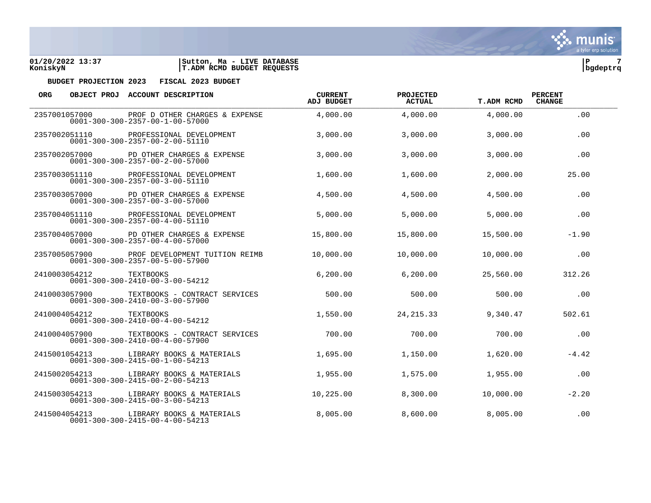

| <b>ORG</b> |               | OBJECT PROJ ACCOUNT DESCRIPTION                                                   | <b>CURRENT</b><br><b>ADJ BUDGET</b> | PROJECTED<br>ACTUAL | <b>T.ADM RCMD</b> | <b>PERCENT</b><br><b>CHANGE</b> |  |
|------------|---------------|-----------------------------------------------------------------------------------|-------------------------------------|---------------------|-------------------|---------------------------------|--|
|            | 2357001057000 | PROF D OTHER CHARGES & EXPENSE<br>$0001 - 300 - 300 - 2357 - 00 - 1 - 00 - 57000$ | 4,000.00                            | 4,000.00            | 4,000.00          | .00                             |  |
|            | 2357002051110 | PROFESSIONAL DEVELOPMENT<br>$0001 - 300 - 300 - 2357 - 00 - 2 - 00 - 51110$       | 3,000.00                            | 3,000.00            | 3,000.00          | .00                             |  |
|            | 2357002057000 | PD OTHER CHARGES & EXPENSE<br>$0001 - 300 - 300 - 2357 - 00 - 2 - 00 - 57000$     | 3,000.00                            | 3,000.00            | 3,000.00          | .00                             |  |
|            | 2357003051110 | PROFESSIONAL DEVELOPMENT<br>$0001 - 300 - 300 - 2357 - 00 - 3 - 00 - 51110$       | 1,600.00                            | 1,600.00            | 2,000.00          | 25.00                           |  |
|            | 2357003057000 | PD OTHER CHARGES & EXPENSE<br>$0001 - 300 - 300 - 2357 - 00 - 3 - 00 - 57000$     | 4,500.00                            | 4,500.00            | 4,500.00          | .00                             |  |
|            | 2357004051110 | PROFESSIONAL DEVELOPMENT<br>$0001 - 300 - 300 - 2357 - 00 - 4 - 00 - 51110$       | 5.000.00                            | 5,000.00            | 5,000.00          | .00                             |  |
|            | 2357004057000 | PD OTHER CHARGES & EXPENSE<br>$0001 - 300 - 300 - 2357 - 00 - 4 - 00 - 57000$     | 15,800.00                           | 15,800.00           | 15,500.00         | $-1.90$                         |  |
|            | 2357005057900 | PROF DEVELOPMENT TUITION REIMB<br>$0001 - 300 - 300 - 2357 - 00 - 5 - 00 - 57900$ | 10,000.00                           | 10,000.00           | 10,000.00         | .00                             |  |
|            | 2410003054212 | TEXTBOOKS<br>$0001 - 300 - 300 - 2410 - 00 - 3 - 00 - 54212$                      | 6, 200, 00                          | 6,200.00            | 25,560.00         | 312.26                          |  |
|            | 2410003057900 | TEXTBOOKS - CONTRACT SERVICES<br>$0001 - 300 - 300 - 2410 - 00 - 3 - 00 - 57900$  | 500.00                              | 500.00              | 500.00            | .00                             |  |
|            | 2410004054212 | TEXTBOOKS<br>$0001 - 300 - 300 - 2410 - 00 - 4 - 00 - 54212$                      | 1,550.00                            | 24, 215, 33         | 9,340.47          | 502.61                          |  |
|            | 2410004057900 | TEXTBOOKS - CONTRACT SERVICES<br>$0001 - 300 - 300 - 2410 - 00 - 4 - 00 - 57900$  | 700.00                              | 700.00              | 700.00            | .00.                            |  |
|            | 2415001054213 | LIBRARY BOOKS & MATERIALS<br>$0001 - 300 - 300 - 2415 - 00 - 1 - 00 - 54213$      | 1,695.00                            | 1,150.00            | 1,620.00          | $-4.42$                         |  |
|            | 2415002054213 | LIBRARY BOOKS & MATERIALS<br>$0001 - 300 - 300 - 2415 - 00 - 2 - 00 - 54213$      | 1,955.00                            | 1,575.00            | 1,955.00          | .00                             |  |
|            | 2415003054213 | LIBRARY BOOKS & MATERIALS<br>$0001 - 300 - 300 - 2415 - 00 - 3 - 00 - 54213$      | 10,225.00                           | 8,300.00            | 10,000.00         | $-2.20$                         |  |
|            | 2415004054213 | LIBRARY BOOKS & MATERIALS<br>$0001 - 300 - 300 - 2415 - 00 - 4 - 00 - 54213$      | 8,005.00                            | 8,600.00            | 8,005.00          | .00                             |  |



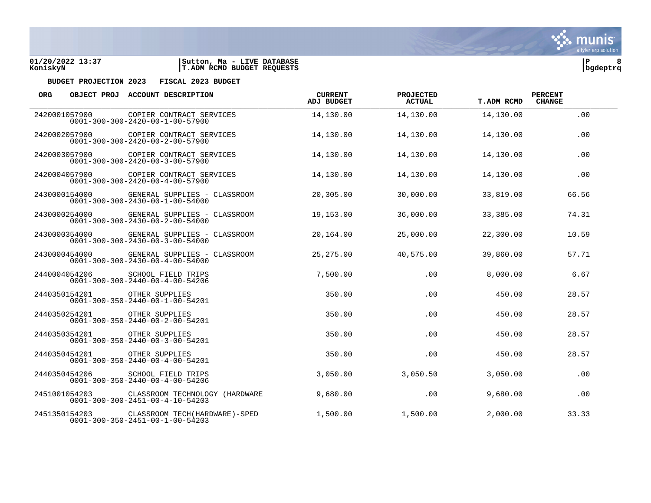

| <b>ORG</b> |               | OBJECT PROJ ACCOUNT DESCRIPTION                                                               | <b>CURRENT</b><br>ADJ BUDGET | PROJECTED<br><b>ACTUAL</b> | <b>T.ADM RCMD</b> | <b>PERCENT</b><br><b>CHANGE</b> |  |
|------------|---------------|-----------------------------------------------------------------------------------------------|------------------------------|----------------------------|-------------------|---------------------------------|--|
|            | 2420001057900 | COPIER CONTRACT SERVICES<br>$0001 - 300 - 300 - 2420 - 00 - 1 - 00 - 57900$                   | 14,130.00                    | 14,130.00                  | 14,130.00         | .00                             |  |
|            | 2420002057900 | COPIER CONTRACT SERVICES<br>$0001 - 300 - 300 - 2420 - 00 - 2 - 00 - 57900$                   | 14,130.00                    | 14,130.00                  | 14,130.00         | .00                             |  |
|            | 2420003057900 | COPIER CONTRACT SERVICES<br>$0001 - 300 - 300 - 2420 - 00 - 3 - 00 - 57900$                   | 14,130.00                    | 14,130.00                  | 14,130.00         | .00                             |  |
|            |               | 2420004057900 COPIER CONTRACT SERVICES<br>$0001 - 300 - 300 - 2420 - 00 - 4 - 00 - 57900$     | 14,130.00                    | 14,130.00                  | 14,130.00         | .00                             |  |
|            | 2430000154000 | GENERAL SUPPLIES - CLASSROOM<br>$0001 - 300 - 300 - 2430 - 00 - 1 - 00 - 54000$               | 20,305.00                    | 30,000.00                  | 33,819.00         | 66.56                           |  |
|            | 2430000254000 | GENERAL SUPPLIES - CLASSROOM<br>$0001 - 300 - 300 - 2430 - 00 - 2 - 00 - 54000$               | 19,153.00                    | 36,000.00                  | 33,385.00         | 74.31                           |  |
|            | 2430000354000 | GENERAL SUPPLIES - CLASSROOM<br>$0001 - 300 - 300 - 2430 - 00 - 3 - 00 - 54000$               | 20,164.00                    | 25,000.00                  | 22,300.00         | 10.59                           |  |
|            |               | 2430000454000 GENERAL SUPPLIES - CLASSROOM<br>$0001 - 300 - 300 - 2430 - 00 - 4 - 00 - 54000$ | 25, 275.00                   | 40,575.00                  | 39,860.00         | 57.71                           |  |
|            | 2440004054206 | SCHOOL FIELD TRIPS<br>$0001 - 300 - 300 - 2440 - 00 - 4 - 00 - 54206$                         | 7,500.00                     | .00                        | 8,000.00          | 6.67                            |  |
|            | 2440350154201 | OTHER SUPPLIES<br>$0001 - 300 - 350 - 2440 - 00 - 1 - 00 - 54201$                             | 350.00                       | .00                        | 450.00            | 28.57                           |  |
|            | 2440350254201 | OTHER SUPPLIES<br>$0001 - 300 - 350 - 2440 - 00 - 2 - 00 - 54201$                             | 350.00                       | .00                        | 450.00            | 28.57                           |  |
|            |               | 2440350354201 OTHER SUPPLIES<br>$0001 - 300 - 350 - 2440 - 00 - 3 - 00 - 54201$               | 350.00                       | .00                        | 450.00            | 28.57                           |  |
|            | 2440350454201 | OTHER SUPPLIES<br>$0001 - 300 - 350 - 2440 - 00 - 4 - 00 - 54201$                             | 350.00                       | .00                        | 450.00            | 28.57                           |  |
|            | 2440350454206 | SCHOOL FIELD TRIPS<br>$0001 - 300 - 350 - 2440 - 00 - 4 - 00 - 54206$                         | 3,050.00                     | 3,050.50                   | 3,050.00          | .00                             |  |
|            | 2451001054203 | CLASSROOM TECHNOLOGY (HARDWARE<br>$0001 - 300 - 300 - 2451 - 00 - 4 - 10 - 54203$             | 9,680.00                     | .00                        | 9,680.00          | .00                             |  |
|            | 2451350154203 | CLASSROOM TECH(HARDWARE)-SPED<br>$0001 - 300 - 350 - 2451 - 00 - 1 - 00 - 54203$              | 1,500.00                     | 1,500.00                   | 2,000.00          | 33.33                           |  |

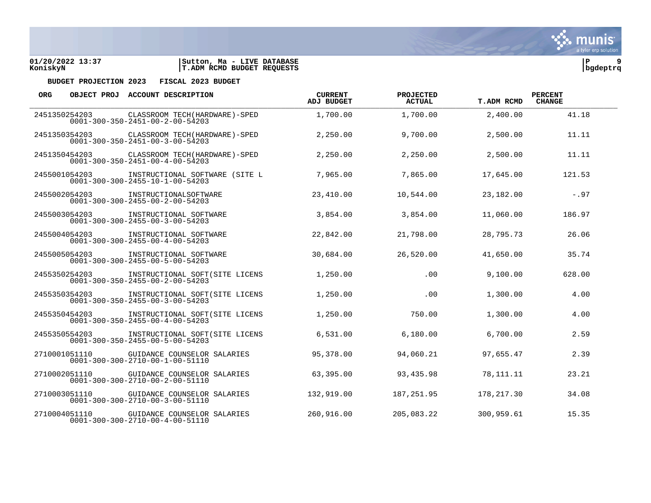

| <b>ORG</b> |               | OBJECT PROJ ACCOUNT DESCRIPTION                                                     | <b>CURRENT</b><br>ADJ BUDGET | <b>PROJECTED</b><br><b>ACTUAL</b> | <b>T.ADM RCMD</b> | <b>PERCENT</b><br><b>CHANGE</b> |  |
|------------|---------------|-------------------------------------------------------------------------------------|------------------------------|-----------------------------------|-------------------|---------------------------------|--|
|            | 2451350254203 | CLASSROOM TECH (HARDWARE)-SPED<br>$0001 - 300 - 350 - 2451 - 00 - 2 - 00 - 54203$   | 1,700.00                     | 1,700.00                          | 2,400.00          | 41.18                           |  |
|            | 2451350354203 | CLASSROOM TECH (HARDWARE) - SPED<br>$0001 - 300 - 350 - 2451 - 00 - 3 - 00 - 54203$ | 2,250.00                     | 9,700.00                          | 2,500.00          | 11.11                           |  |
|            | 2451350454203 | CLASSROOM TECH (HARDWARE)-SPED<br>$0001 - 300 - 350 - 2451 - 00 - 4 - 00 - 54203$   | 2,250.00                     | 2,250.00                          | 2,500.00          | 11.11                           |  |
|            | 2455001054203 | INSTRUCTIONAL SOFTWARE (SITE L<br>$0001 - 300 - 300 - 2455 - 10 - 1 - 00 - 54203$   | 7,965.00                     | 7,865.00                          | 17,645.00         | 121.53                          |  |
|            | 2455002054203 | INSTRUCTIONALSOFTWARE<br>$0001 - 300 - 300 - 2455 - 00 - 2 - 00 - 54203$            | 23,410.00                    | 10,544.00                         | 23,182.00         | $-.97$                          |  |
|            | 2455003054203 | INSTRUCTIONAL SOFTWARE<br>$0001 - 300 - 300 - 2455 - 00 - 3 - 00 - 54203$           | 3,854.00                     | 3,854.00                          | 11,060.00         | 186.97                          |  |
|            | 2455004054203 | INSTRUCTIONAL SOFTWARE<br>$0001 - 300 - 300 - 2455 - 00 - 4 - 00 - 54203$           | 22,842.00                    | 21,798.00                         | 28,795.73         | 26.06                           |  |
|            | 2455005054203 | INSTRUCTIONAL SOFTWARE<br>$0001 - 300 - 300 - 2455 - 00 - 5 - 00 - 54203$           | 30,684.00                    | 26,520.00                         | 41,650.00         | 35.74                           |  |
|            | 2455350254203 | INSTRUCTIONAL SOFT (SITE LICENS<br>$0001 - 300 - 350 - 2455 - 00 - 2 - 00 - 54203$  | 1,250.00                     | .00                               | 9,100.00          | 628.00                          |  |
|            | 2455350354203 | INSTRUCTIONAL SOFT (SITE LICENS<br>$0001 - 300 - 350 - 2455 - 00 - 3 - 00 - 54203$  | 1,250.00                     | .00                               | 1,300.00          | 4.00                            |  |
|            | 2455350454203 | INSTRUCTIONAL SOFT (SITE LICENS<br>$0001 - 300 - 350 - 2455 - 00 - 4 - 00 - 54203$  | 1,250.00                     | 750.00                            | 1,300.00          | 4.00                            |  |
|            | 2455350554203 | INSTRUCTIONAL SOFT (SITE LICENS<br>$0001 - 300 - 350 - 2455 - 00 - 5 - 00 - 54203$  | 6.531.00                     | 6.180.00                          | 6,700.00          | 2.59                            |  |
|            | 2710001051110 | GUIDANCE COUNSELOR SALARIES<br>$0001 - 300 - 300 - 2710 - 00 - 1 - 00 - 51110$      | 95,378.00                    | 94,060.21                         | 97,655.47         | 2.39                            |  |
|            | 2710002051110 | GUIDANCE COUNSELOR SALARIES<br>$0001 - 300 - 300 - 2710 - 00 - 2 - 00 - 51110$      | 63,395.00                    | 93,435.98                         | 78, 111. 11       | 23.21                           |  |
|            | 2710003051110 | GUIDANCE COUNSELOR SALARIES<br>$0001 - 300 - 300 - 2710 - 00 - 3 - 00 - 51110$      | 132,919.00                   | 187, 251.95                       | 178, 217.30       | 34.08                           |  |
|            | 2710004051110 | GUIDANCE COUNSELOR SALARIES<br>$0001 - 300 - 300 - 2710 - 00 - 4 - 00 - 51110$      | 260,916.00                   | 205,083.22                        | 300,959.61        | 15.35                           |  |

Sive munis a tyler erp solution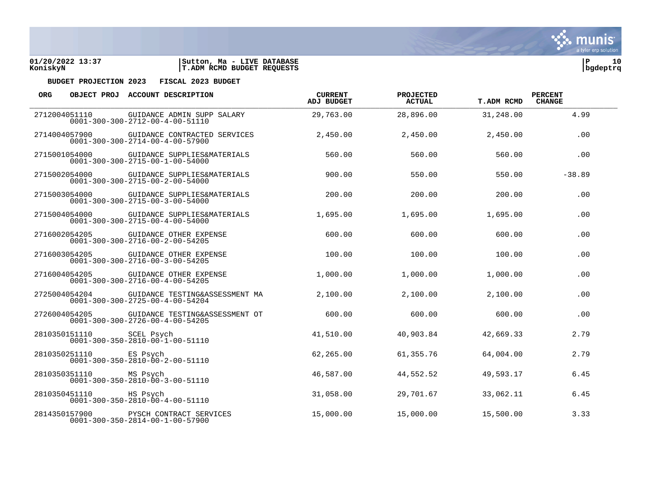

| <b>ORG</b> |                        | OBJECT PROJ ACCOUNT DESCRIPTION                                                   | <b>CURRENT</b><br><b>ADJ BUDGET</b> | <b>PROJECTED</b><br><b>ACTUAL</b> | <b>T.ADM RCMD</b> | <b>PERCENT</b><br><b>CHANGE</b> |  |
|------------|------------------------|-----------------------------------------------------------------------------------|-------------------------------------|-----------------------------------|-------------------|---------------------------------|--|
|            | 2712004051110          | GUIDANCE ADMIN SUPP SALARY<br>$0001 - 300 - 300 - 2712 - 00 - 4 - 00 - 51110$     | 29,763.00                           | 28,896.00                         | 31,248.00         | 4.99                            |  |
|            | 2714004057900          | GUIDANCE CONTRACTED SERVICES<br>$0001 - 300 - 300 - 2714 - 00 - 4 - 00 - 57900$   | 2,450.00                            | 2,450.00                          | 2,450.00          | .00                             |  |
|            | 2715001054000          | GUIDANCE SUPPLIES&MATERIALS<br>$0001 - 300 - 300 - 2715 - 00 - 1 - 00 - 54000$    | 560.00                              | 560.00                            | 560.00            | .00                             |  |
|            | 2715002054000          | GUIDANCE SUPPLIES&MATERIALS<br>$0001 - 300 - 300 - 2715 - 00 - 2 - 00 - 54000$    | 900.00                              | 550.00                            | 550.00            | $-38.89$                        |  |
|            | 2715003054000          | GUIDANCE SUPPLIES&MATERIALS<br>$0001 - 300 - 300 - 2715 - 00 - 3 - 00 - 54000$    | 200.00                              | 200.00                            | 200.00            | .00                             |  |
|            | 2715004054000          | GUIDANCE SUPPLIES&MATERIALS<br>$0001 - 300 - 300 - 2715 - 00 - 4 - 00 - 54000$    | 1,695.00                            | 1,695.00                          | 1,695.00          | .00                             |  |
|            | 2716002054205          | GUIDANCE OTHER EXPENSE<br>$0001 - 300 - 300 - 2716 - 00 - 2 - 00 - 54205$         | 600.00                              | 600.00                            | 600.00            | .00                             |  |
|            | 2716003054205          | GUIDANCE OTHER EXPENSE<br>$0001 - 300 - 300 - 2716 - 00 - 3 - 00 - 54205$         | 100.00                              | 100.00                            | 100.00            | .00                             |  |
|            | 2716004054205          | GUIDANCE OTHER EXPENSE<br>$0001 - 300 - 300 - 2716 - 00 - 4 - 00 - 54205$         | 1,000.00                            | 1,000.00                          | 1,000.00          | .00                             |  |
|            | 2725004054204          | GUIDANCE TESTING&ASSESSMENT MA<br>$0001 - 300 - 300 - 2725 - 00 - 4 - 00 - 54204$ | 2,100.00                            | 2,100.00                          | 2,100.00          | .00                             |  |
|            | 2726004054205          | GUIDANCE TESTING&ASSESSMENT OT<br>$0001 - 300 - 300 - 2726 - 00 - 4 - 00 - 54205$ | 600.00                              | 600.00                            | 600.00            | .00                             |  |
|            | 2810350151110          | SCEL Psych<br>$0001 - 300 - 350 - 2810 - 00 - 1 - 00 - 51110$                     | 41,510.00                           | 40,903.84                         | 42,669.33         | 2.79                            |  |
|            | 2810350251110          | ES Psych<br>$0001 - 300 - 350 - 2810 - 00 - 2 - 00 - 51110$                       | 62,265.00                           | 61,355.76                         | 64,004.00         | 2.79                            |  |
|            | 2810350351110          | MS Psych<br>$0001 - 300 - 350 - 2810 - 00 - 3 - 00 - 51110$                       | 46,587.00                           | 44,552.52                         | 49,593.17         | 6.45                            |  |
|            | 2810350451110 HS Psych | $0001 - 300 - 350 - 2810 - 00 - 4 - 00 - 51110$                                   | 31,058.00                           | 29,701.67                         | 33,062.11         | 6.45                            |  |
|            | 2814350157900          | PYSCH CONTRACT SERVICES<br>$0001 - 300 - 350 - 2814 - 00 - 1 - 00 - 57900$        | 15,000.00                           | 15,000.00                         | 15,500.00         | 3.33                            |  |

S. munis a tyler erp solution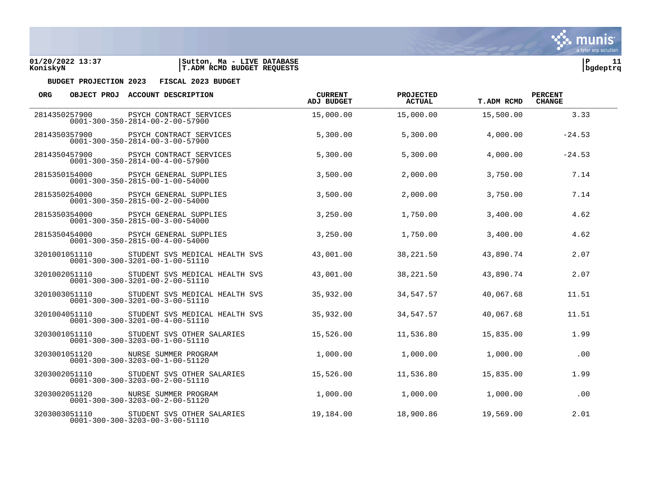

| <b>ORG</b> |               | OBJECT PROJ ACCOUNT DESCRIPTION                                                          | <b>CURRENT</b><br><b>ADJ BUDGET</b> | <b>PROJECTED</b><br><b>ACTUAL</b> | <b>T.ADM RCMD</b> | <b>PERCENT</b><br><b>CHANGE</b> |  |
|------------|---------------|------------------------------------------------------------------------------------------|-------------------------------------|-----------------------------------|-------------------|---------------------------------|--|
|            | 2814350257900 | PSYCH CONTRACT SERVICES<br>$0001 - 300 - 350 - 2814 - 00 - 2 - 00 - 57900$               | 15,000.00                           | 15,000.00                         | 15,500.00         | 3.33                            |  |
|            | 2814350357900 | PSYCH CONTRACT SERVICES<br>$0001 - 300 - 350 - 2814 - 00 - 3 - 00 - 57900$               | 5,300.00                            | 5,300.00                          | 4,000.00          | $-24.53$                        |  |
|            |               | 2814350457900 PSYCH CONTRACT SERVICES<br>$0001 - 300 - 350 - 2814 - 00 - 4 - 00 - 57900$ | 5,300.00                            | 5,300.00                          | 4,000.00          | $-24.53$                        |  |
|            |               | 2815350154000 PSYCH GENERAL SUPPLIES<br>$0001 - 300 - 350 - 2815 - 00 - 1 - 00 - 54000$  | 3,500.00                            | 2,000.00                          | 3,750.00          | 7.14                            |  |
|            | 2815350254000 | PSYCH GENERAL SUPPLIES<br>$0001 - 300 - 350 - 2815 - 00 - 2 - 00 - 54000$                | 3,500.00                            | 2,000.00                          | 3,750.00          | 7.14                            |  |
|            | 2815350354000 | PSYCH GENERAL SUPPLIES<br>$0001 - 300 - 350 - 2815 - 00 - 3 - 00 - 54000$                | 3,250.00                            | 1,750.00                          | 3,400.00          | 4.62                            |  |
|            |               | 2815350454000 PSYCH GENERAL SUPPLIES<br>$0001 - 300 - 350 - 2815 - 00 - 4 - 00 - 54000$  | 3,250.00                            | 1,750.00                          | 3,400.00          | 4.62                            |  |
|            | 3201001051110 | STUDENT SVS MEDICAL HEALTH SVS<br>$0001 - 300 - 300 - 3201 - 00 - 1 - 00 - 51110$        | 43,001.00                           | 38,221.50                         | 43,890.74         | 2.07                            |  |
|            | 3201002051110 | STUDENT SVS MEDICAL HEALTH SVS<br>$0001 - 300 - 300 - 3201 - 00 - 2 - 00 - 51110$        | 43,001.00                           | 38,221.50                         | 43,890.74         | 2.07                            |  |
|            | 3201003051110 | STUDENT SVS MEDICAL HEALTH SVS<br>$0001 - 300 - 300 - 3201 - 00 - 3 - 00 - 51110$        | 35,932.00                           | 34,547.57                         | 40,067.68         | 11.51                           |  |
|            | 3201004051110 | STUDENT SVS MEDICAL HEALTH SVS<br>$0001 - 300 - 300 - 3201 - 00 - 4 - 00 - 51110$        | 35,932.00                           | 34,547.57                         | 40,067.68         | 11.51                           |  |
|            | 3203001051110 | STUDENT SVS OTHER SALARIES<br>$0001 - 300 - 300 - 3203 - 00 - 1 - 00 - 51110$            | 15,526.00                           | 11,536.80                         | 15,835.00         | 1.99                            |  |
|            | 3203001051120 | NURSE SUMMER PROGRAM<br>$0001 - 300 - 300 - 3203 - 00 - 1 - 00 - 51120$                  | 1,000.00                            | 1,000.00                          | 1,000.00          | .00                             |  |
|            | 3203002051110 | STUDENT SVS OTHER SALARIES<br>$0001 - 300 - 300 - 3203 - 00 - 2 - 00 - 51110$            | 15,526.00                           | 11,536.80                         | 15,835.00         | 1.99                            |  |
|            | 3203002051120 | NURSE SUMMER PROGRAM<br>$0001 - 300 - 300 - 3203 - 00 - 2 - 00 - 51120$                  | 1,000.00                            | 1,000.00                          | 1,000.00          | .00                             |  |
|            | 3203003051110 | STUDENT SVS OTHER SALARIES<br>$0001 - 300 - 300 - 3203 - 00 - 3 - 00 - 51110$            | 19,184.00                           | 18,900.86                         | 19,569.00         | 2.01                            |  |

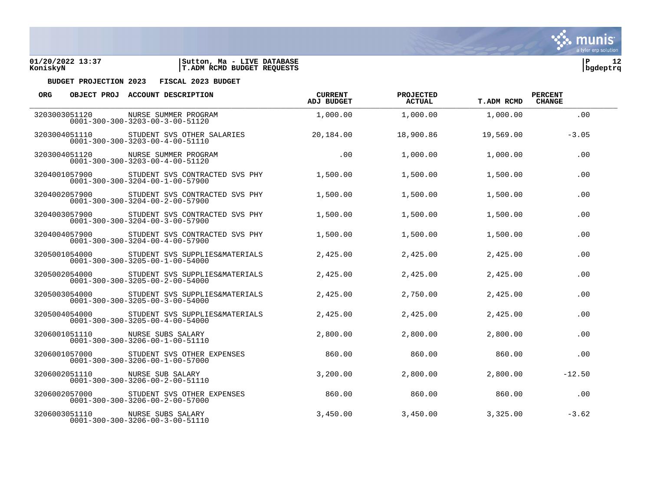

| <b>ORG</b> |               | OBJECT PROJ ACCOUNT DESCRIPTION                                                   | <b>CURRENT</b><br><b>ADJ BUDGET</b> | <b>PROJECTED</b><br>ACTUAL | <b>T.ADM RCMD</b> | <b>PERCENT</b><br><b>CHANGE</b> |  |
|------------|---------------|-----------------------------------------------------------------------------------|-------------------------------------|----------------------------|-------------------|---------------------------------|--|
|            | 3203003051120 | NURSE SUMMER PROGRAM<br>$0001 - 300 - 300 - 3203 - 00 - 3 - 00 - 51120$           | 1,000.00                            | 1,000.00                   | 1,000.00          | .00                             |  |
|            | 3203004051110 | STUDENT SVS OTHER SALARIES<br>$0001 - 300 - 300 - 3203 - 00 - 4 - 00 - 51110$     | 20,184.00                           | 18,900.86                  | 19,569.00         | $-3.05$                         |  |
|            | 3203004051120 | NURSE SUMMER PROGRAM<br>$0001 - 300 - 300 - 3203 - 00 - 4 - 00 - 51120$           | .00                                 | 1,000.00                   | 1,000.00          | .00                             |  |
|            | 3204001057900 | STUDENT SVS CONTRACTED SVS PHY<br>$0001 - 300 - 300 - 3204 - 00 - 1 - 00 - 57900$ | 1,500.00                            | 1,500.00                   | 1,500.00          | .00                             |  |
|            | 3204002057900 | STUDENT SVS CONTRACTED SVS PHY<br>$0001 - 300 - 300 - 3204 - 00 - 2 - 00 - 57900$ | 1,500.00                            | 1,500.00                   | 1,500.00          | .00                             |  |
|            | 3204003057900 | STUDENT SVS CONTRACTED SVS PHY<br>$0001 - 300 - 300 - 3204 - 00 - 3 - 00 - 57900$ | 1,500.00                            | 1,500.00                   | 1,500.00          | .00                             |  |
|            | 3204004057900 | STUDENT SVS CONTRACTED SVS PHY<br>$0001 - 300 - 300 - 3204 - 00 - 4 - 00 - 57900$ | 1,500.00                            | 1,500.00                   | 1,500.00          | .00                             |  |
|            | 3205001054000 | STUDENT SVS SUPPLIES&MATERIALS<br>$0001 - 300 - 300 - 3205 - 00 - 1 - 00 - 54000$ | 2,425.00                            | 2,425.00                   | 2,425.00          | .00.                            |  |
|            | 3205002054000 | STUDENT SVS SUPPLIES&MATERIALS<br>$0001 - 300 - 300 - 3205 - 00 - 2 - 00 - 54000$ | 2,425.00                            | 2,425.00                   | 2,425.00          | .00                             |  |
|            | 3205003054000 | STUDENT SVS SUPPLIES&MATERIALS<br>$0001 - 300 - 300 - 3205 - 00 - 3 - 00 - 54000$ | 2,425.00                            | 2,750.00                   | 2,425.00          | .00                             |  |
|            | 3205004054000 | STUDENT SVS SUPPLIES&MATERIALS<br>$0001 - 300 - 300 - 3205 - 00 - 4 - 00 - 54000$ | 2,425.00                            | 2,425.00                   | 2,425.00          | .00                             |  |
|            | 3206001051110 | NURSE SUBS SALARY<br>$0001 - 300 - 300 - 3206 - 00 - 1 - 00 - 51110$              | 2,800.00                            | 2,800.00                   | 2,800.00          | .00.                            |  |
|            | 3206001057000 | STUDENT SVS OTHER EXPENSES<br>$0001 - 300 - 300 - 3206 - 00 - 1 - 00 - 57000$     | 860.00                              | 860.00                     | 860.00            | .00                             |  |
|            | 3206002051110 | NURSE SUB SALARY<br>$0001 - 300 - 300 - 3206 - 00 - 2 - 00 - 51110$               | 3,200.00                            | 2,800.00                   | 2,800.00          | $-12.50$                        |  |
|            | 3206002057000 | STUDENT SVS OTHER EXPENSES<br>$0001 - 300 - 300 - 3206 - 00 - 2 - 00 - 57000$     | 860.00                              | 860.00                     | 860.00            | .00                             |  |
|            | 3206003051110 | NURSE SUBS SALARY<br>$0001 - 300 - 300 - 3206 - 00 - 3 - 00 - 51110$              | 3,450.00                            | 3,450.00                   | 3,325.00          | $-3.62$                         |  |

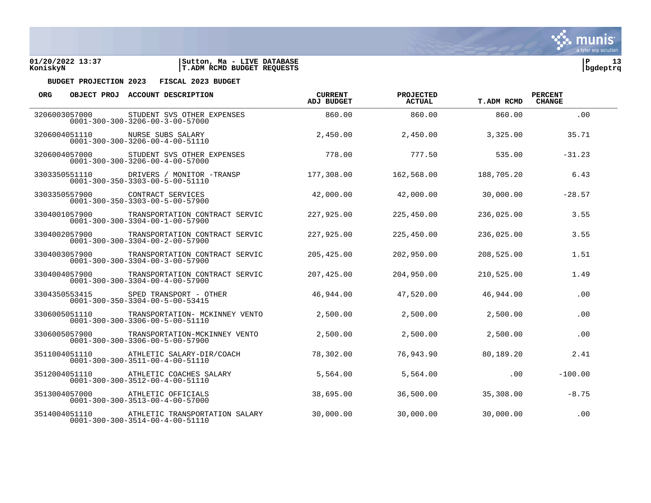

| ORG. |               | OBJECT PROJ ACCOUNT DESCRIPTION                                                                 | <b>CURRENT</b><br>ADJ BUDGET | <b>PROJECTED</b><br>ACTUAL | <b>T.ADM RCMD</b> | <b>PERCENT</b><br><b>CHANGE</b> |  |
|------|---------------|-------------------------------------------------------------------------------------------------|------------------------------|----------------------------|-------------------|---------------------------------|--|
|      | 3206003057000 | STUDENT SVS OTHER EXPENSES<br>$0001 - 300 - 300 - 3206 - 00 - 3 - 00 - 57000$                   | 860.00                       | 860.00                     | 860.00            | .00                             |  |
|      | 3206004051110 | NURSE SUBS SALARY<br>$0001 - 300 - 300 - 3206 - 00 - 4 - 00 - 51110$                            | 2,450.00                     | 2,450.00                   | 3,325.00          | 35.71                           |  |
|      | 3206004057000 | STUDENT SVS OTHER EXPENSES<br>$0001 - 300 - 300 - 3206 - 00 - 4 - 00 - 57000$                   | 778.00                       | 777.50                     | 535.00            | $-31.23$                        |  |
|      | 3303350551110 | DRIVERS / MONITOR -TRANSP<br>$0001 - 300 - 350 - 3303 - 00 - 5 - 00 - 51110$                    | 177,308.00                   | 162,568.00                 | 188,705.20        | 6.43                            |  |
|      | 3303350557900 | CONTRACT SERVICES<br>$0001 - 300 - 350 - 3303 - 00 - 5 - 00 - 57900$                            | 42,000.00                    | 42,000.00                  | 30,000.00         | $-28.57$                        |  |
|      | 3304001057900 | TRANSPORTATION CONTRACT SERVIC<br>$0001 - 300 - 300 - 3304 - 00 - 1 - 00 - 57900$               | 227,925.00                   | 225,450.00                 | 236,025.00        | 3.55                            |  |
|      | 3304002057900 | TRANSPORTATION CONTRACT SERVIC<br>$0001 - 300 - 300 - 3304 - 00 - 2 - 00 - 57900$               | 227,925.00                   | 225,450.00                 | 236,025.00        | 3.55                            |  |
|      | 3304003057900 | TRANSPORTATION CONTRACT SERVIC<br>$0001 - 300 - 300 - 3304 - 00 - 3 - 00 - 57900$               | 205,425.00                   | 202,950.00                 | 208,525.00        | 1.51                            |  |
|      | 3304004057900 | TRANSPORTATION CONTRACT SERVIC<br>$0001 - 300 - 300 - 3304 - 00 - 4 - 00 - 57900$               | 207,425.00                   | 204,950.00                 | 210,525.00        | 1.49                            |  |
|      | 3304350553415 | SPED TRANSPORT - OTHER<br>$0001 - 300 - 350 - 3304 - 00 - 5 - 00 - 53415$                       | 46,944.00                    | 47,520.00                  | 46,944.00         | .00                             |  |
|      | 3306005051110 | TRANSPORTATION- MCKINNEY VENTO<br>$0001 - 300 - 300 - 3306 - 00 - 5 - 00 - 51110$               | 2,500.00                     | 2,500.00                   | 2,500.00          | .00                             |  |
|      | 3306005057900 | TRANSPORTATION-MCKINNEY VENTO<br>$0001 - 300 - 300 - 3306 - 00 - 5 - 00 - 57900$                | 2,500.00                     | 2,500.00                   | 2,500.00          | .00                             |  |
|      | 3511004051110 | ATHLETIC SALARY-DIR/COACH<br>$0001 - 300 - 300 - 3511 - 00 - 4 - 00 - 51110$                    | 78,302.00                    | 76,943.90                  | 80,189.20         | 2.41                            |  |
|      | 3512004051110 | ATHLETIC COACHES SALARY<br>$0001 - 300 - 300 - 3512 - 00 - 4 - 00 - 51110$                      | 5,564.00                     | 5,564.00                   | .00               | $-100.00$                       |  |
|      | 3513004057000 | ATHLETIC OFFICIALS<br>$0001 - 300 - 300 - 3513 - 00 - 4 - 00 - 57000$                           | 38,695.00                    | 36,500.00                  | 35,308.00         | $-8.75$                         |  |
|      |               | 3514004051110 ATHLETIC TRANSPORTATION SALARY<br>$0001 - 300 - 300 - 3514 - 00 - 4 - 00 - 51110$ | 30,000.00                    | 30,000.00                  | 30,000.00         | .00                             |  |

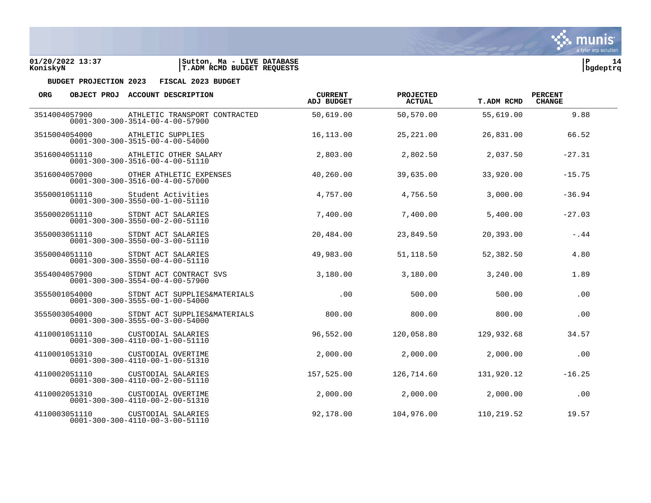

| <b>ORG</b>    |               | OBJECT PROJ ACCOUNT DESCRIPTION                                                  | <b>CURRENT</b><br><b>ADJ BUDGET</b> | PROJECTED<br><b>ACTUAL</b> | <b>T.ADM RCMD</b> | <b>PERCENT</b><br><b>CHANGE</b> |  |
|---------------|---------------|----------------------------------------------------------------------------------|-------------------------------------|----------------------------|-------------------|---------------------------------|--|
| 3514004057900 |               | ATHLETIC TRANSPORT CONTRACTED<br>$0001 - 300 - 300 - 3514 - 00 - 4 - 00 - 57900$ | 50,619.00                           | 50,570.00                  | 55,619.00         | 9.88                            |  |
| 3515004054000 |               | ATHLETIC SUPPLIES<br>$0001 - 300 - 300 - 3515 - 00 - 4 - 00 - 54000$             | 16,113.00                           | 25, 221.00                 | 26,831.00         | 66.52                           |  |
|               | 3516004051110 | ATHLETIC OTHER SALARY<br>$0001 - 300 - 300 - 3516 - 00 - 4 - 00 - 51110$         | 2,803.00                            | 2,802.50                   | 2,037.50          | $-27.31$                        |  |
|               | 3516004057000 | OTHER ATHLETIC EXPENSES<br>$0001 - 300 - 300 - 3516 - 00 - 4 - 00 - 57000$       | 40,260.00                           | 39,635.00                  | 33,920.00         | $-15.75$                        |  |
| 3550001051110 |               | Student Activities<br>$0001 - 300 - 300 - 3550 - 00 - 1 - 00 - 51110$            | 4,757.00                            | 4,756.50                   | 3,000.00          | $-36.94$                        |  |
| 3550002051110 |               | STDNT ACT SALARIES<br>$0001 - 300 - 300 - 3550 - 00 - 2 - 00 - 51110$            | 7,400.00                            | 7,400.00                   | 5,400.00          | $-27.03$                        |  |
|               | 3550003051110 | STDNT ACT SALARIES<br>$0001 - 300 - 300 - 3550 - 00 - 3 - 00 - 51110$            | 20,484.00                           | 23,849.50                  | 20,393.00         | $-.44$                          |  |
| 3550004051110 |               | STDNT ACT SALARIES<br>$0001 - 300 - 300 - 3550 - 00 - 4 - 00 - 51110$            | 49,983.00                           | 51,118.50                  | 52,382.50         | 4.80                            |  |
| 3554004057900 |               | STDNT ACT CONTRACT SVS<br>$0001 - 300 - 300 - 3554 - 00 - 4 - 00 - 57900$        | 3,180.00                            | 3,180.00                   | 3,240.00          | 1.89                            |  |
| 3555001054000 |               | STDNT ACT SUPPLIES&MATERIALS<br>$0001 - 300 - 300 - 3555 - 00 - 1 - 00 - 54000$  | .00                                 | 500.00                     | 500.00            | .00                             |  |
| 3555003054000 |               | STDNT ACT SUPPLIES&MATERIALS<br>$0001 - 300 - 300 - 3555 - 00 - 3 - 00 - 54000$  | 800.00                              | 800.00                     | 800.00            | .00                             |  |
|               | 4110001051110 | CUSTODIAL SALARIES<br>$0001 - 300 - 300 - 4110 - 00 - 1 - 00 - 51110$            | 96,552.00                           | 120,058.80                 | 129,932.68        | 34.57                           |  |
| 4110001051310 |               | CUSTODIAL OVERTIME<br>$0001 - 300 - 300 - 4110 - 00 - 1 - 00 - 51310$            | 2,000.00                            | 2,000.00                   | 2,000.00          | .00                             |  |
| 4110002051110 |               | CUSTODIAL SALARIES<br>$0001 - 300 - 300 - 4110 - 00 - 2 - 00 - 51110$            | 157,525.00                          | 126,714.60                 | 131,920.12        | $-16.25$                        |  |
| 4110002051310 |               | CUSTODIAL OVERTIME<br>$0001 - 300 - 300 - 4110 - 00 - 2 - 00 - 51310$            | 2,000.00                            | 2,000.00                   | 2,000.00          | .00                             |  |
|               | 4110003051110 | CUSTODIAL SALARIES<br>$0001 - 300 - 300 - 4110 - 00 - 3 - 00 - 51110$            | 92,178.00                           | 104,976.00                 | 110,219.52        | 19.57                           |  |

S. munis a tyler erp solution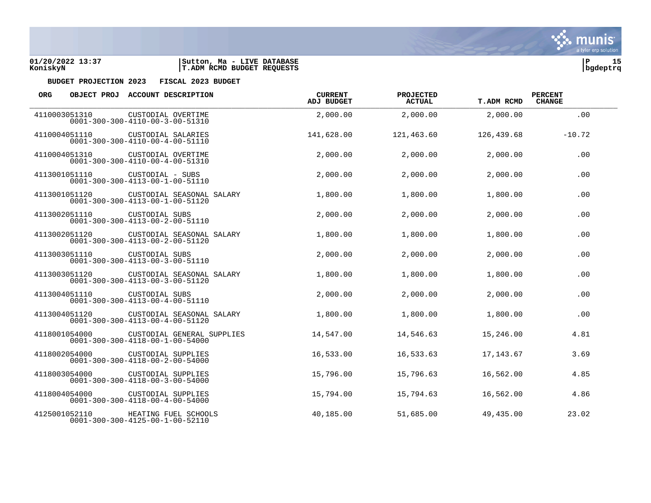

| ORG. |               | OBJECT PROJ ACCOUNT DESCRIPTION                                               | <b>CURRENT</b><br><b>ADJ BUDGET</b> | PROJECTED<br><b>ACTUAL</b> | <b>T.ADM RCMD</b> | <b>PERCENT</b><br><b>CHANGE</b> |  |
|------|---------------|-------------------------------------------------------------------------------|-------------------------------------|----------------------------|-------------------|---------------------------------|--|
|      | 4110003051310 | CUSTODIAL OVERTIME<br>$0001 - 300 - 300 - 4110 - 00 - 3 - 00 - 51310$         | 2,000.00                            | 2,000.00                   | 2,000.00          | .00                             |  |
|      | 4110004051110 | CUSTODIAL SALARIES<br>$0001 - 300 - 300 - 4110 - 00 - 4 - 00 - 51110$         | 141,628.00                          | 121,463.60                 | 126,439.68        | $-10.72$                        |  |
|      | 4110004051310 | CUSTODIAL OVERTIME<br>$0001 - 300 - 300 - 4110 - 00 - 4 - 00 - 51310$         | 2,000.00                            | 2,000.00                   | 2,000.00          | .00                             |  |
|      | 4113001051110 | CUSTODIAL - SUBS<br>$0001 - 300 - 300 - 4113 - 00 - 1 - 00 - 51110$           | 2,000.00                            | 2,000.00                   | 2,000.00          | .00                             |  |
|      | 4113001051120 | CUSTODIAL SEASONAL SALARY<br>$0001 - 300 - 300 - 4113 - 00 - 1 - 00 - 51120$  | 1,800.00                            | 1,800.00                   | 1,800.00          | .00                             |  |
|      | 4113002051110 | CUSTODIAL SUBS<br>$0001 - 300 - 300 - 4113 - 00 - 2 - 00 - 51110$             | 2,000.00                            | 2,000.00                   | 2,000.00          | .00                             |  |
|      | 4113002051120 | CUSTODIAL SEASONAL SALARY<br>$0001 - 300 - 300 - 4113 - 00 - 2 - 00 - 51120$  | 1,800.00                            | 1,800.00                   | 1,800.00          | .00                             |  |
|      | 4113003051110 | CUSTODIAL SUBS<br>$0001 - 300 - 300 - 4113 - 00 - 3 - 00 - 51110$             | 2,000.00                            | 2,000.00                   | 2,000.00          | .00                             |  |
|      | 4113003051120 | CUSTODIAL SEASONAL SALARY<br>$0001 - 300 - 300 - 4113 - 00 - 3 - 00 - 51120$  | 1,800.00                            | 1,800.00                   | 1,800.00          | .00                             |  |
|      | 4113004051110 | CUSTODIAL SUBS<br>$0001 - 300 - 300 - 4113 - 00 - 4 - 00 - 51110$             | 2,000.00                            | 2,000.00                   | 2,000.00          | .00                             |  |
|      | 4113004051120 | CUSTODIAL SEASONAL SALARY<br>$0001 - 300 - 300 - 4113 - 00 - 4 - 00 - 51120$  | 1,800.00                            | 1,800.00                   | 1,800.00          | .00                             |  |
|      | 4118001054000 | CUSTODIAL GENERAL SUPPLIES<br>$0001 - 300 - 300 - 4118 - 00 - 1 - 00 - 54000$ | 14,547.00                           | 14,546.63                  | 15,246.00         | 4.81                            |  |
|      | 4118002054000 | CUSTODIAL SUPPLIES<br>$0001 - 300 - 300 - 4118 - 00 - 2 - 00 - 54000$         | 16,533.00                           | 16,533.63                  | 17,143.67         | 3.69                            |  |
|      | 4118003054000 | CUSTODIAL SUPPLIES<br>$0001 - 300 - 300 - 4118 - 00 - 3 - 00 - 54000$         | 15,796.00                           | 15,796.63                  | 16,562.00         | 4.85                            |  |
|      | 4118004054000 | CUSTODIAL SUPPLIES<br>$0001 - 300 - 300 - 4118 - 00 - 4 - 00 - 54000$         | 15,794.00                           | 15,794.63                  | 16,562.00         | 4.86                            |  |
|      | 4125001052110 | HEATING FUEL SCHOOLS<br>$0001 - 300 - 300 - 4125 - 00 - 1 - 00 - 52110$       | 40,185.00                           | 51,685.00                  | 49,435.00         | 23.02                           |  |

**∵ munis** a tyler erp solution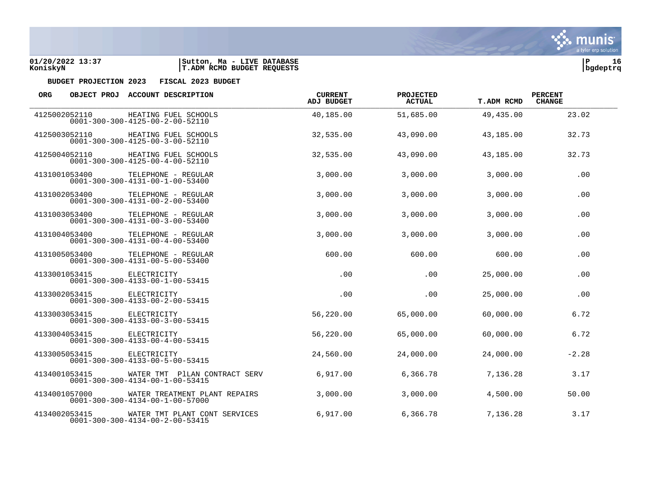



| <b>ORG</b> |               | OBJECT PROJ ACCOUNT DESCRIPTION                                                  | <b>CURRENT</b><br><b>ADJ BUDGET</b> | <b>PROJECTED</b><br>ACTUAL | <b>T.ADM RCMD</b> | <b>PERCENT</b><br><b>CHANGE</b> |  |
|------------|---------------|----------------------------------------------------------------------------------|-------------------------------------|----------------------------|-------------------|---------------------------------|--|
|            | 4125002052110 | HEATING FUEL SCHOOLS<br>$0001 - 300 - 300 - 4125 - 00 - 2 - 00 - 52110$          | 40,185.00                           | 51,685.00                  | 49,435.00         | 23.02                           |  |
|            | 4125003052110 | HEATING FUEL SCHOOLS<br>$0001 - 300 - 300 - 4125 - 00 - 3 - 00 - 52110$          | 32,535.00                           | 43,090.00                  | 43,185.00         | 32.73                           |  |
|            | 4125004052110 | HEATING FUEL SCHOOLS<br>$0001 - 300 - 300 - 4125 - 00 - 4 - 00 - 52110$          | 32,535.00                           | 43,090.00                  | 43,185.00         | 32.73                           |  |
|            | 4131001053400 | TELEPHONE - REGULAR<br>$0001 - 300 - 300 - 4131 - 00 - 1 - 00 - 53400$           | 3,000.00                            | 3,000.00                   | 3,000.00          | .00                             |  |
|            | 4131002053400 | TELEPHONE - REGULAR<br>$0001 - 300 - 300 - 4131 - 00 - 2 - 00 - 53400$           | 3,000.00                            | 3,000.00                   | 3,000.00          | .00                             |  |
|            | 4131003053400 | TELEPHONE - REGULAR<br>$0001 - 300 - 300 - 4131 - 00 - 3 - 00 - 53400$           | 3,000.00                            | 3,000.00                   | 3,000.00          | .00                             |  |
|            | 4131004053400 | TELEPHONE - REGULAR<br>$0001 - 300 - 300 - 4131 - 00 - 4 - 00 - 53400$           | 3,000.00                            | 3,000.00                   | 3,000.00          | .00                             |  |
|            | 4131005053400 | TELEPHONE - REGULAR<br>$0001 - 300 - 300 - 4131 - 00 - 5 - 00 - 53400$           | 600.00                              | 600.00                     | 600.00            | .00                             |  |
|            | 4133001053415 | ELECTRICITY<br>$0001 - 300 - 300 - 4133 - 00 - 1 - 00 - 53415$                   | .00                                 | .00                        | 25,000.00         | .00                             |  |
|            | 4133002053415 | ELECTRICITY<br>$0001 - 300 - 300 - 4133 - 00 - 2 - 00 - 53415$                   | .00                                 | .00                        | 25,000.00         | .00                             |  |
|            | 4133003053415 | ELECTRICITY<br>$0001 - 300 - 300 - 4133 - 00 - 3 - 00 - 53415$                   | 56,220.00                           | 65,000.00                  | 60,000.00         | 6.72                            |  |
|            | 4133004053415 | ELECTRICITY<br>$0001 - 300 - 300 - 4133 - 00 - 4 - 00 - 53415$                   | 56,220.00                           | 65,000.00                  | 60,000.00         | 6.72                            |  |
|            | 4133005053415 | ELECTRICITY<br>$0001 - 300 - 300 - 4133 - 00 - 5 - 00 - 53415$                   | 24,560.00                           | 24,000.00                  | 24,000.00         | $-2.28$                         |  |
|            | 4134001053415 | WATER TMT PILAN CONTRACT SERV<br>$0001 - 300 - 300 - 4134 - 00 - 1 - 00 - 53415$ | 6,917.00                            | 6,366.78                   | 7,136.28          | 3.17                            |  |
|            | 4134001057000 | WATER TREATMENT PLANT REPAIRS<br>$0001 - 300 - 300 - 4134 - 00 - 1 - 00 - 57000$ | 3,000.00                            | 3,000.00                   | 4,500.00          | 50.00                           |  |
|            | 4134002053415 | WATER TMT PLANT CONT SERVICES<br>$0001 - 300 - 300 - 4134 - 00 - 2 - 00 - 53415$ | 6,917.00                            | 6,366.78                   | 7,136.28          | 3.17                            |  |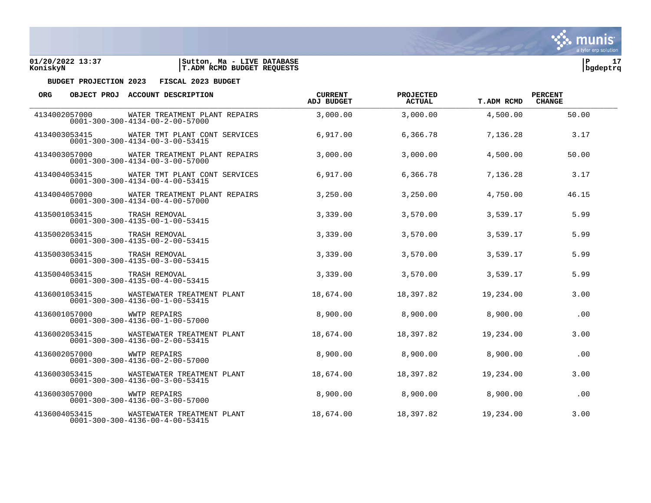

| ORG |               | OBJECT PROJ ACCOUNT DESCRIPTION                                                  | <b>CURRENT</b><br>ADJ BUDGET | <b>PROJECTED</b><br>ACTUAL | <b>T.ADM RCMD</b> | <b>PERCENT</b><br><b>CHANGE</b> |  |
|-----|---------------|----------------------------------------------------------------------------------|------------------------------|----------------------------|-------------------|---------------------------------|--|
|     | 4134002057000 | WATER TREATMENT PLANT REPAIRS<br>$0001 - 300 - 300 - 4134 - 00 - 2 - 00 - 57000$ | 3,000.00                     | 3,000.00                   | 4,500.00          | 50.00                           |  |
|     | 4134003053415 | WATER TMT PLANT CONT SERVICES<br>$0001 - 300 - 300 - 4134 - 00 - 3 - 00 - 53415$ | 6,917.00                     | 6,366.78                   | 7,136.28          | 3.17                            |  |
|     | 4134003057000 | WATER TREATMENT PLANT REPAIRS<br>$0001 - 300 - 300 - 4134 - 00 - 3 - 00 - 57000$ | 3,000.00                     | 3,000.00                   | 4,500.00          | 50.00                           |  |
|     | 4134004053415 | WATER TMT PLANT CONT SERVICES<br>$0001 - 300 - 300 - 4134 - 00 - 4 - 00 - 53415$ | 6,917.00                     | 6,366.78                   | 7,136.28          | 3.17                            |  |
|     | 4134004057000 | WATER TREATMENT PLANT REPAIRS<br>$0001 - 300 - 300 - 4134 - 00 - 4 - 00 - 57000$ | 3,250.00                     | 3,250.00                   | 4,750.00          | 46.15                           |  |
|     | 4135001053415 | TRASH REMOVAL<br>$0001 - 300 - 300 - 4135 - 00 - 1 - 00 - 53415$                 | 3,339,00                     | 3,570.00                   | 3,539.17          | 5.99                            |  |
|     | 4135002053415 | TRASH REMOVAL<br>$0001 - 300 - 300 - 4135 - 00 - 2 - 00 - 53415$                 | 3,339.00                     | 3,570.00                   | 3,539.17          | 5.99                            |  |
|     | 4135003053415 | TRASH REMOVAL<br>$0001 - 300 - 300 - 4135 - 00 - 3 - 00 - 53415$                 | 3,339.00                     | 3,570.00                   | 3,539.17          | 5.99                            |  |
|     | 4135004053415 | TRASH REMOVAL<br>$0001 - 300 - 300 - 4135 - 00 - 4 - 00 - 53415$                 | 3,339.00                     | 3,570.00                   | 3,539.17          | 5.99                            |  |
|     | 4136001053415 | WASTEWATER TREATMENT PLANT<br>$0001 - 300 - 300 - 4136 - 00 - 1 - 00 - 53415$    | 18,674.00                    | 18,397.82                  | 19,234.00         | 3.00                            |  |
|     | 4136001057000 | <b>WWTP REPAIRS</b><br>$0001 - 300 - 300 - 4136 - 00 - 1 - 00 - 57000$           | 8,900.00                     | 8,900.00                   | 8,900.00          | .00                             |  |
|     | 4136002053415 | WASTEWATER TREATMENT PLANT<br>$0001 - 300 - 300 - 4136 - 00 - 2 - 00 - 53415$    | 18,674.00                    | 18,397.82                  | 19,234.00         | 3.00                            |  |
|     | 4136002057000 | WWTP REPAIRS<br>$0001 - 300 - 300 - 4136 - 00 - 2 - 00 - 57000$                  | 8,900.00                     | 8,900.00                   | 8,900.00          | .00                             |  |
|     | 4136003053415 | WASTEWATER TREATMENT PLANT<br>$0001 - 300 - 300 - 4136 - 00 - 3 - 00 - 53415$    | 18,674.00                    | 18,397.82                  | 19,234.00         | 3.00                            |  |
|     | 4136003057000 | WWTP REPAIRS<br>$0001 - 300 - 300 - 4136 - 00 - 3 - 00 - 57000$                  | 8,900.00                     | 8,900.00                   | 8,900.00          | .00                             |  |
|     | 4136004053415 | WASTEWATER TREATMENT PLANT<br>$0001 - 300 - 300 - 4136 - 00 - 4 - 00 - 53415$    | 18,674.00                    | 18,397.82                  | 19,234.00         | 3.00                            |  |

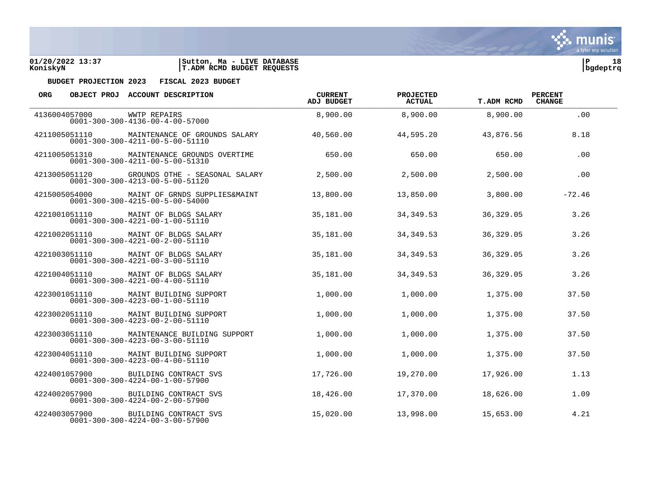

| ORG |               | OBJECT PROJ ACCOUNT DESCRIPTION                                                                 | <b>CURRENT</b><br>ADJ BUDGET | <b>PROJECTED</b><br>ACTUAL | <b>T.ADM RCMD</b> | <b>PERCENT</b><br><b>CHANGE</b> |  |
|-----|---------------|-------------------------------------------------------------------------------------------------|------------------------------|----------------------------|-------------------|---------------------------------|--|
|     | 4136004057000 | WWTP REPAIRS<br>$0001 - 300 - 300 - 4136 - 00 - 4 - 00 - 57000$                                 | 8,900.00                     | 8,900.00                   | 8,900.00          | .00                             |  |
|     | 4211005051110 | MAINTENANCE OF GROUNDS SALARY<br>$0001 - 300 - 300 - 4211 - 00 - 5 - 00 - 51110$                | 40,560.00                    | 44,595.20                  | 43,876.56         | 8.18                            |  |
|     | 4211005051310 | MAINTENANCE GROUNDS OVERTIME<br>$0001 - 300 - 300 - 4211 - 00 - 5 - 00 - 51310$                 | 650.00                       | 650.00                     | 650.00            | .00                             |  |
|     |               | 4213005051120 GROUNDS OTHE - SEASONAL SALARY<br>$0001 - 300 - 300 - 4213 - 00 - 5 - 00 - 51120$ | 2,500.00                     | 2,500.00                   | 2,500.00          | .00                             |  |
|     | 4215005054000 | MAINT OF GRNDS SUPPLIES&MAINT<br>$0001 - 300 - 300 - 4215 - 00 - 5 - 00 - 54000$                | 13,800.00                    | 13,850.00                  | 3,800.00          | $-72.46$                        |  |
|     | 4221001051110 | MAINT OF BLDGS SALARY<br>$0001 - 300 - 300 - 4221 - 00 - 1 - 00 - 51110$                        | 35,181.00                    | 34,349.53                  | 36, 329.05        | 3.26                            |  |
|     | 4221002051110 | MAINT OF BLDGS SALARY<br>$0001 - 300 - 300 - 4221 - 00 - 2 - 00 - 51110$                        | 35,181.00                    | 34, 349.53                 | 36, 329.05        | 3.26                            |  |
|     |               | 4221003051110 MAINT OF BLDGS SALARY<br>$0001 - 300 - 300 - 4221 - 00 - 3 - 00 - 51110$          | 35,181.00                    | 34, 349.53                 | 36, 329.05        | 3.26                            |  |
|     |               | 4221004051110 MAINT OF BLDGS SALARY<br>$0001 - 300 - 300 - 4221 - 00 - 4 - 00 - 51110$          | 35,181.00                    | 34,349.53                  | 36,329.05         | 3.26                            |  |
|     | 4223001051110 | MAINT BUILDING SUPPORT<br>$0001 - 300 - 300 - 4223 - 00 - 1 - 00 - 51110$                       | 1,000.00                     | 1,000.00                   | 1,375.00          | 37.50                           |  |
|     | 4223002051110 | MAINT BUILDING SUPPORT<br>$0001 - 300 - 300 - 4223 - 00 - 2 - 00 - 51110$                       | 1,000.00                     | 1,000.00                   | 1,375.00          | 37.50                           |  |
|     |               | 4223003051110 MAINTENANCE BUILDING SUPPORT<br>$0001 - 300 - 300 - 4223 - 00 - 3 - 00 - 51110$   | 1,000.00                     | 1,000.00                   | 1,375.00          | 37.50                           |  |
|     | 4223004051110 | MAINT BUILDING SUPPORT<br>$0001 - 300 - 300 - 4223 - 00 - 4 - 00 - 51110$                       | 1,000.00                     | 1,000.00                   | 1,375.00          | 37.50                           |  |
|     | 4224001057900 | BUILDING CONTRACT SVS<br>$0001 - 300 - 300 - 4224 - 00 - 1 - 00 - 57900$                        | 17,726.00                    | 19,270.00                  | 17,926.00         | 1.13                            |  |
|     | 4224002057900 | BUILDING CONTRACT SVS<br>$0001 - 300 - 300 - 4224 - 00 - 2 - 00 - 57900$                        | 18,426.00                    | 17,370.00                  | 18,626.00         | 1.09                            |  |
|     |               | 4224003057900 BUILDING CONTRACT SVS<br>$0001 - 300 - 300 - 4224 - 00 - 3 - 00 - 57900$          | 15,020.00                    | 13,998.00                  | 15,653.00         | 4.21                            |  |

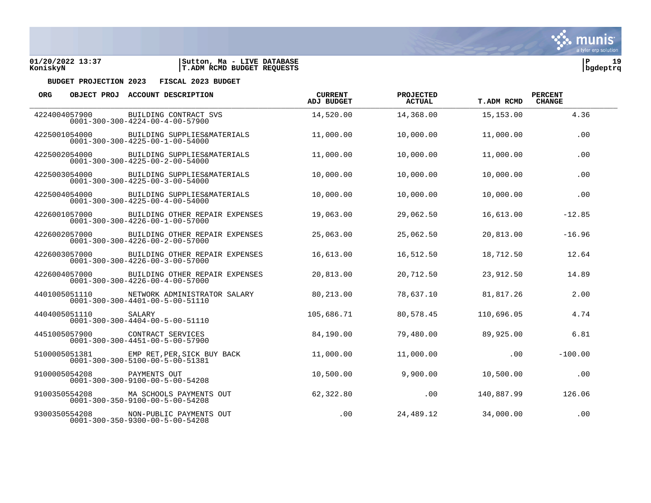

| ORG. |               | OBJECT PROJ ACCOUNT DESCRIPTION                                                   | <b>CURRENT</b><br>ADJ BUDGET | PROJECTED<br>ACTUAL | <b>T.ADM RCMD</b> | <b>PERCENT</b><br><b>CHANGE</b> |  |
|------|---------------|-----------------------------------------------------------------------------------|------------------------------|---------------------|-------------------|---------------------------------|--|
|      | 4224004057900 | BUILDING CONTRACT SVS<br>$0001 - 300 - 300 - 4224 - 00 - 4 - 00 - 57900$          | 14,520.00                    | 14,368.00           | 15,153.00         | 4.36                            |  |
|      | 4225001054000 | BUILDING SUPPLIES&MATERIALS<br>$0001 - 300 - 300 - 4225 - 00 - 1 - 00 - 54000$    | 11,000.00                    | 10,000.00           | 11,000.00         | .00                             |  |
|      | 4225002054000 | BUILDING SUPPLIES&MATERIALS<br>$0001 - 300 - 300 - 4225 - 00 - 2 - 00 - 54000$    | 11,000.00                    | 10,000.00           | 11,000.00         | .00                             |  |
|      | 4225003054000 | BUILDING SUPPLIES&MATERIALS<br>$0001 - 300 - 300 - 4225 - 00 - 3 - 00 - 54000$    | 10,000.00                    | 10,000.00           | 10,000.00         | .00                             |  |
|      | 4225004054000 | BUILDING SUPPLIES&MATERIALS<br>$0001 - 300 - 300 - 4225 - 00 - 4 - 00 - 54000$    | 10,000.00                    | 10,000.00           | 10,000.00         | .00                             |  |
|      | 4226001057000 | BUILDING OTHER REPAIR EXPENSES<br>$0001 - 300 - 300 - 4226 - 00 - 1 - 00 - 57000$ | 19,063.00                    | 29,062.50           | 16,613.00         | $-12.85$                        |  |
|      | 4226002057000 | BUILDING OTHER REPAIR EXPENSES<br>$0001 - 300 - 300 - 4226 - 00 - 2 - 00 - 57000$ | 25,063.00                    | 25,062.50           | 20,813.00         | $-16.96$                        |  |
|      | 4226003057000 | BUILDING OTHER REPAIR EXPENSES<br>$0001 - 300 - 300 - 4226 - 00 - 3 - 00 - 57000$ | 16,613.00                    | 16,512.50           | 18,712.50         | 12.64                           |  |
|      | 4226004057000 | BUILDING OTHER REPAIR EXPENSES<br>$0001 - 300 - 300 - 4226 - 00 - 4 - 00 - 57000$ | 20,813.00                    | 20,712.50           | 23,912.50         | 14.89                           |  |
|      | 4401005051110 | NETWORK ADMINISTRATOR SALARY<br>$0001 - 300 - 300 - 4401 - 00 - 5 - 00 - 51110$   | 80,213.00                    | 78,637.10           | 81,817.26         | 2.00                            |  |
|      | 4404005051110 | SALARY<br>$0001 - 300 - 300 - 4404 - 00 - 5 - 00 - 51110$                         | 105,686.71                   | 80,578.45           | 110,696.05        | 4.74                            |  |
|      | 4451005057900 | CONTRACT SERVICES<br>$0001 - 300 - 300 - 4451 - 00 - 5 - 00 - 57900$              | 84,190.00                    | 79,480.00           | 89,925.00         | 6.81                            |  |
|      | 5100005051381 | EMP RET, PER, SICK BUY BACK<br>$0001 - 300 - 300 - 5100 - 00 - 5 - 00 - 51381$    | 11,000.00                    | 11,000.00           | .00               | $-100.00$                       |  |
|      | 9100005054208 | PAYMENTS OUT<br>$0001 - 300 - 300 - 9100 - 00 - 5 - 00 - 54208$                   | 10,500.00                    | 9,900.00            | 10,500.00         | .00                             |  |
|      | 9100350554208 | MA SCHOOLS PAYMENTS OUT<br>$0001 - 300 - 350 - 9100 - 00 - 5 - 00 - 54208$        | 62,322.80                    | .00                 | 140,887.99        | 126.06                          |  |
|      | 9300350554208 | NON-PUBLIC PAYMENTS OUT<br>$0001 - 300 - 350 - 9300 - 00 - 5 - 00 - 54208$        | .00                          | 24,489.12           | 34,000.00         | .00.                            |  |

S. munis a tyler erp solution